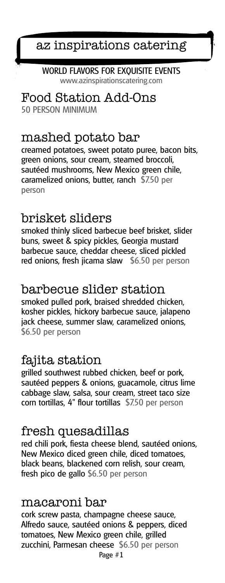az inspirations catering

WORLD FLAVORS FOR EXQUISITE EVENTS www.azinspirationscatering.com

Food Station Add-Ons 50 PERSON MINIMUM

## mashed potato bar

creamed potatoes, sweet potato puree, bacon bits, green onions, sour cream, steamed broccoli, sautéed mushrooms, New Mexico green chile, caramelized onions, butter, ranch \$7.50 per person

## brisket sliders

smoked thinly sliced barbecue beef brisket, slider buns, sweet & spicy pickles, Georgia mustard barbecue sauce, cheddar cheese, sliced pickled red onions, fresh jicama slaw \$6.50 per person

## barbecue slider station

smoked pulled pork, braised shredded chicken, kosher pickles, hickory barbecue sauce, jalapeno jack cheese, summer slaw, caramelized onions, \$6.50 per person

## fajita station

grilled southwest rubbed chicken, beef or pork, sautéed peppers & onions, guacamole, citrus lime cabbage slaw, salsa, sour cream, street taco size corn tortillas, 4" flour tortillas \$7.50 per person

## fresh quesadillas

red chili pork, fiesta cheese blend, sautéed onions, New Mexico diced green chile, diced tomatoes, black beans, blackened corn relish, sour cream, fresh pico de gallo \$6.50 per person

## macaroni bar

Page #1 cork screw pasta, champagne cheese sauce, Alfredo sauce, sautéed onions & peppers, diced tomatoes, New Mexico green chile, grilled zucchini, Parmesan cheese \$6.50 per person